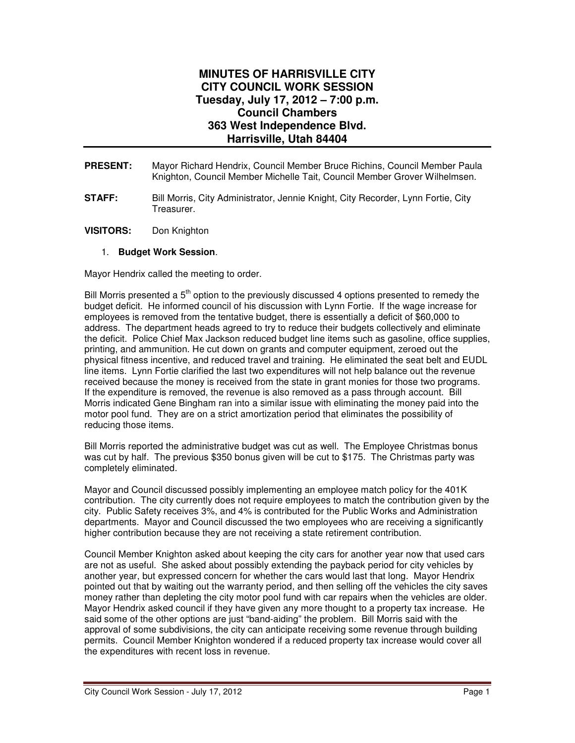## **MINUTES OF HARRISVILLE CITY CITY COUNCIL WORK SESSION Tuesday, July 17, 2012 – 7:00 p.m. Council Chambers 363 West Independence Blvd. Harrisville, Utah 84404**

- **PRESENT:** Mayor Richard Hendrix, Council Member Bruce Richins, Council Member Paula Knighton, Council Member Michelle Tait, Council Member Grover Wilhelmsen.
- **STAFF:** Bill Morris, City Administrator, Jennie Knight, City Recorder, Lynn Fortie, City Treasurer.
- **VISITORS:** Don Knighton

## 1. **Budget Work Session**.

Mayor Hendrix called the meeting to order.

Bill Morris presented a  $5<sup>th</sup>$  option to the previously discussed 4 options presented to remedy the budget deficit. He informed council of his discussion with Lynn Fortie. If the wage increase for employees is removed from the tentative budget, there is essentially a deficit of \$60,000 to address. The department heads agreed to try to reduce their budgets collectively and eliminate the deficit. Police Chief Max Jackson reduced budget line items such as gasoline, office supplies, printing, and ammunition. He cut down on grants and computer equipment, zeroed out the physical fitness incentive, and reduced travel and training. He eliminated the seat belt and EUDL line items. Lynn Fortie clarified the last two expenditures will not help balance out the revenue received because the money is received from the state in grant monies for those two programs. If the expenditure is removed, the revenue is also removed as a pass through account. Bill Morris indicated Gene Bingham ran into a similar issue with eliminating the money paid into the motor pool fund. They are on a strict amortization period that eliminates the possibility of reducing those items.

Bill Morris reported the administrative budget was cut as well. The Employee Christmas bonus was cut by half. The previous \$350 bonus given will be cut to \$175. The Christmas party was completely eliminated.

Mayor and Council discussed possibly implementing an employee match policy for the 401K contribution. The city currently does not require employees to match the contribution given by the city. Public Safety receives 3%, and 4% is contributed for the Public Works and Administration departments. Mayor and Council discussed the two employees who are receiving a significantly higher contribution because they are not receiving a state retirement contribution.

Council Member Knighton asked about keeping the city cars for another year now that used cars are not as useful. She asked about possibly extending the payback period for city vehicles by another year, but expressed concern for whether the cars would last that long. Mayor Hendrix pointed out that by waiting out the warranty period, and then selling off the vehicles the city saves money rather than depleting the city motor pool fund with car repairs when the vehicles are older. Mayor Hendrix asked council if they have given any more thought to a property tax increase. He said some of the other options are just "band-aiding" the problem. Bill Morris said with the approval of some subdivisions, the city can anticipate receiving some revenue through building permits. Council Member Knighton wondered if a reduced property tax increase would cover all the expenditures with recent loss in revenue.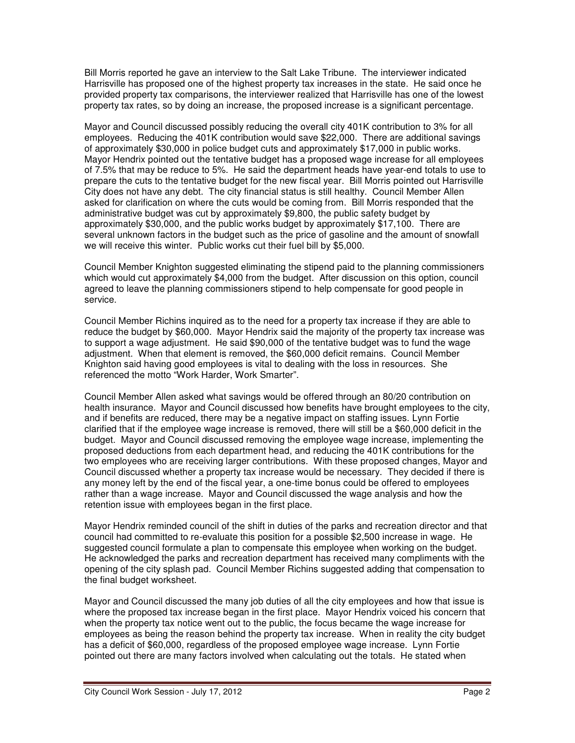Bill Morris reported he gave an interview to the Salt Lake Tribune. The interviewer indicated Harrisville has proposed one of the highest property tax increases in the state. He said once he provided property tax comparisons, the interviewer realized that Harrisville has one of the lowest property tax rates, so by doing an increase, the proposed increase is a significant percentage.

Mayor and Council discussed possibly reducing the overall city 401K contribution to 3% for all employees. Reducing the 401K contribution would save \$22,000. There are additional savings of approximately \$30,000 in police budget cuts and approximately \$17,000 in public works. Mayor Hendrix pointed out the tentative budget has a proposed wage increase for all employees of 7.5% that may be reduce to 5%. He said the department heads have year-end totals to use to prepare the cuts to the tentative budget for the new fiscal year. Bill Morris pointed out Harrisville City does not have any debt. The city financial status is still healthy. Council Member Allen asked for clarification on where the cuts would be coming from. Bill Morris responded that the administrative budget was cut by approximately \$9,800, the public safety budget by approximately \$30,000, and the public works budget by approximately \$17,100. There are several unknown factors in the budget such as the price of gasoline and the amount of snowfall we will receive this winter. Public works cut their fuel bill by \$5,000.

Council Member Knighton suggested eliminating the stipend paid to the planning commissioners which would cut approximately \$4,000 from the budget. After discussion on this option, council agreed to leave the planning commissioners stipend to help compensate for good people in service.

Council Member Richins inquired as to the need for a property tax increase if they are able to reduce the budget by \$60,000. Mayor Hendrix said the majority of the property tax increase was to support a wage adjustment. He said \$90,000 of the tentative budget was to fund the wage adjustment. When that element is removed, the \$60,000 deficit remains. Council Member Knighton said having good employees is vital to dealing with the loss in resources. She referenced the motto "Work Harder, Work Smarter".

Council Member Allen asked what savings would be offered through an 80/20 contribution on health insurance. Mayor and Council discussed how benefits have brought employees to the city, and if benefits are reduced, there may be a negative impact on staffing issues. Lynn Fortie clarified that if the employee wage increase is removed, there will still be a \$60,000 deficit in the budget. Mayor and Council discussed removing the employee wage increase, implementing the proposed deductions from each department head, and reducing the 401K contributions for the two employees who are receiving larger contributions. With these proposed changes, Mayor and Council discussed whether a property tax increase would be necessary. They decided if there is any money left by the end of the fiscal year, a one-time bonus could be offered to employees rather than a wage increase. Mayor and Council discussed the wage analysis and how the retention issue with employees began in the first place.

Mayor Hendrix reminded council of the shift in duties of the parks and recreation director and that council had committed to re-evaluate this position for a possible \$2,500 increase in wage. He suggested council formulate a plan to compensate this employee when working on the budget. He acknowledged the parks and recreation department has received many compliments with the opening of the city splash pad. Council Member Richins suggested adding that compensation to the final budget worksheet.

Mayor and Council discussed the many job duties of all the city employees and how that issue is where the proposed tax increase began in the first place. Mayor Hendrix voiced his concern that when the property tax notice went out to the public, the focus became the wage increase for employees as being the reason behind the property tax increase. When in reality the city budget has a deficit of \$60,000, regardless of the proposed employee wage increase. Lynn Fortie pointed out there are many factors involved when calculating out the totals. He stated when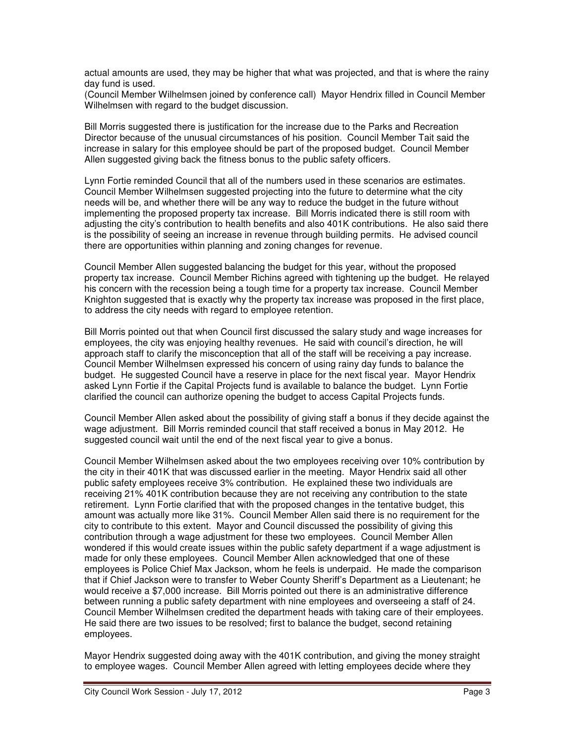actual amounts are used, they may be higher that what was projected, and that is where the rainy day fund is used.

(Council Member Wilhelmsen joined by conference call) Mayor Hendrix filled in Council Member Wilhelmsen with regard to the budget discussion.

Bill Morris suggested there is justification for the increase due to the Parks and Recreation Director because of the unusual circumstances of his position. Council Member Tait said the increase in salary for this employee should be part of the proposed budget. Council Member Allen suggested giving back the fitness bonus to the public safety officers.

Lynn Fortie reminded Council that all of the numbers used in these scenarios are estimates. Council Member Wilhelmsen suggested projecting into the future to determine what the city needs will be, and whether there will be any way to reduce the budget in the future without implementing the proposed property tax increase. Bill Morris indicated there is still room with adjusting the city's contribution to health benefits and also 401K contributions. He also said there is the possibility of seeing an increase in revenue through building permits. He advised council there are opportunities within planning and zoning changes for revenue.

Council Member Allen suggested balancing the budget for this year, without the proposed property tax increase. Council Member Richins agreed with tightening up the budget. He relayed his concern with the recession being a tough time for a property tax increase. Council Member Knighton suggested that is exactly why the property tax increase was proposed in the first place, to address the city needs with regard to employee retention.

Bill Morris pointed out that when Council first discussed the salary study and wage increases for employees, the city was enjoying healthy revenues. He said with council's direction, he will approach staff to clarify the misconception that all of the staff will be receiving a pay increase. Council Member Wilhelmsen expressed his concern of using rainy day funds to balance the budget. He suggested Council have a reserve in place for the next fiscal year. Mayor Hendrix asked Lynn Fortie if the Capital Projects fund is available to balance the budget. Lynn Fortie clarified the council can authorize opening the budget to access Capital Projects funds.

Council Member Allen asked about the possibility of giving staff a bonus if they decide against the wage adjustment. Bill Morris reminded council that staff received a bonus in May 2012. He suggested council wait until the end of the next fiscal year to give a bonus.

Council Member Wilhelmsen asked about the two employees receiving over 10% contribution by the city in their 401K that was discussed earlier in the meeting. Mayor Hendrix said all other public safety employees receive 3% contribution. He explained these two individuals are receiving 21% 401K contribution because they are not receiving any contribution to the state retirement. Lynn Fortie clarified that with the proposed changes in the tentative budget, this amount was actually more like 31%. Council Member Allen said there is no requirement for the city to contribute to this extent. Mayor and Council discussed the possibility of giving this contribution through a wage adjustment for these two employees. Council Member Allen wondered if this would create issues within the public safety department if a wage adjustment is made for only these employees. Council Member Allen acknowledged that one of these employees is Police Chief Max Jackson, whom he feels is underpaid. He made the comparison that if Chief Jackson were to transfer to Weber County Sheriff's Department as a Lieutenant; he would receive a \$7,000 increase. Bill Morris pointed out there is an administrative difference between running a public safety department with nine employees and overseeing a staff of 24. Council Member Wilhelmsen credited the department heads with taking care of their employees. He said there are two issues to be resolved; first to balance the budget, second retaining employees.

Mayor Hendrix suggested doing away with the 401K contribution, and giving the money straight to employee wages. Council Member Allen agreed with letting employees decide where they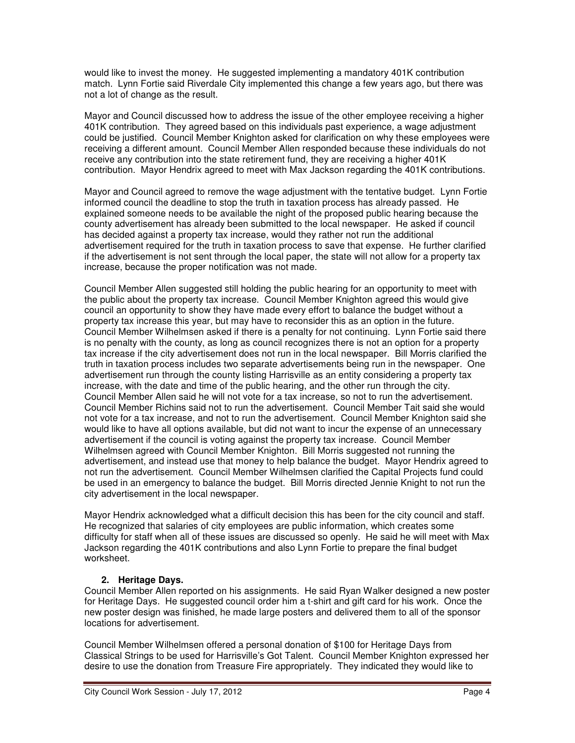would like to invest the money. He suggested implementing a mandatory 401K contribution match. Lynn Fortie said Riverdale City implemented this change a few years ago, but there was not a lot of change as the result.

Mayor and Council discussed how to address the issue of the other employee receiving a higher 401K contribution. They agreed based on this individuals past experience, a wage adjustment could be justified. Council Member Knighton asked for clarification on why these employees were receiving a different amount. Council Member Allen responded because these individuals do not receive any contribution into the state retirement fund, they are receiving a higher 401K contribution. Mayor Hendrix agreed to meet with Max Jackson regarding the 401K contributions.

Mayor and Council agreed to remove the wage adjustment with the tentative budget. Lynn Fortie informed council the deadline to stop the truth in taxation process has already passed. He explained someone needs to be available the night of the proposed public hearing because the county advertisement has already been submitted to the local newspaper. He asked if council has decided against a property tax increase, would they rather not run the additional advertisement required for the truth in taxation process to save that expense. He further clarified if the advertisement is not sent through the local paper, the state will not allow for a property tax increase, because the proper notification was not made.

Council Member Allen suggested still holding the public hearing for an opportunity to meet with the public about the property tax increase. Council Member Knighton agreed this would give council an opportunity to show they have made every effort to balance the budget without a property tax increase this year, but may have to reconsider this as an option in the future. Council Member Wilhelmsen asked if there is a penalty for not continuing. Lynn Fortie said there is no penalty with the county, as long as council recognizes there is not an option for a property tax increase if the city advertisement does not run in the local newspaper. Bill Morris clarified the truth in taxation process includes two separate advertisements being run in the newspaper. One advertisement run through the county listing Harrisville as an entity considering a property tax increase, with the date and time of the public hearing, and the other run through the city. Council Member Allen said he will not vote for a tax increase, so not to run the advertisement. Council Member Richins said not to run the advertisement. Council Member Tait said she would not vote for a tax increase, and not to run the advertisement. Council Member Knighton said she would like to have all options available, but did not want to incur the expense of an unnecessary advertisement if the council is voting against the property tax increase. Council Member Wilhelmsen agreed with Council Member Knighton. Bill Morris suggested not running the advertisement, and instead use that money to help balance the budget. Mayor Hendrix agreed to not run the advertisement. Council Member Wilhelmsen clarified the Capital Projects fund could be used in an emergency to balance the budget. Bill Morris directed Jennie Knight to not run the city advertisement in the local newspaper.

Mayor Hendrix acknowledged what a difficult decision this has been for the city council and staff. He recognized that salaries of city employees are public information, which creates some difficulty for staff when all of these issues are discussed so openly. He said he will meet with Max Jackson regarding the 401K contributions and also Lynn Fortie to prepare the final budget worksheet.

## **2. Heritage Days.**

Council Member Allen reported on his assignments. He said Ryan Walker designed a new poster for Heritage Days. He suggested council order him a t-shirt and gift card for his work. Once the new poster design was finished, he made large posters and delivered them to all of the sponsor locations for advertisement.

Council Member Wilhelmsen offered a personal donation of \$100 for Heritage Days from Classical Strings to be used for Harrisville's Got Talent. Council Member Knighton expressed her desire to use the donation from Treasure Fire appropriately. They indicated they would like to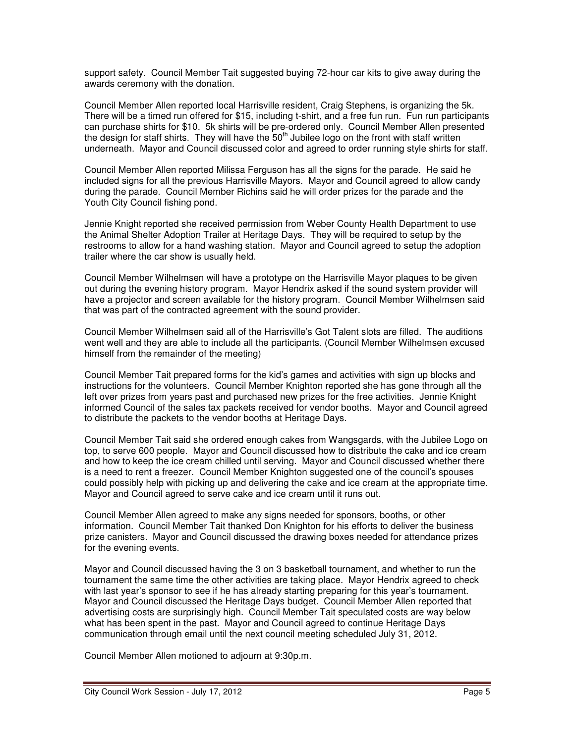support safety. Council Member Tait suggested buying 72-hour car kits to give away during the awards ceremony with the donation.

Council Member Allen reported local Harrisville resident, Craig Stephens, is organizing the 5k. There will be a timed run offered for \$15, including t-shirt, and a free fun run. Fun run participants can purchase shirts for \$10. 5k shirts will be pre-ordered only. Council Member Allen presented the design for staff shirts. They will have the  $50<sup>th</sup>$  Jubilee logo on the front with staff written underneath. Mayor and Council discussed color and agreed to order running style shirts for staff.

Council Member Allen reported Milissa Ferguson has all the signs for the parade. He said he included signs for all the previous Harrisville Mayors. Mayor and Council agreed to allow candy during the parade. Council Member Richins said he will order prizes for the parade and the Youth City Council fishing pond.

Jennie Knight reported she received permission from Weber County Health Department to use the Animal Shelter Adoption Trailer at Heritage Days. They will be required to setup by the restrooms to allow for a hand washing station. Mayor and Council agreed to setup the adoption trailer where the car show is usually held.

Council Member Wilhelmsen will have a prototype on the Harrisville Mayor plaques to be given out during the evening history program. Mayor Hendrix asked if the sound system provider will have a projector and screen available for the history program. Council Member Wilhelmsen said that was part of the contracted agreement with the sound provider.

Council Member Wilhelmsen said all of the Harrisville's Got Talent slots are filled. The auditions went well and they are able to include all the participants. (Council Member Wilhelmsen excused himself from the remainder of the meeting)

Council Member Tait prepared forms for the kid's games and activities with sign up blocks and instructions for the volunteers. Council Member Knighton reported she has gone through all the left over prizes from years past and purchased new prizes for the free activities. Jennie Knight informed Council of the sales tax packets received for vendor booths. Mayor and Council agreed to distribute the packets to the vendor booths at Heritage Days.

Council Member Tait said she ordered enough cakes from Wangsgards, with the Jubilee Logo on top, to serve 600 people. Mayor and Council discussed how to distribute the cake and ice cream and how to keep the ice cream chilled until serving. Mayor and Council discussed whether there is a need to rent a freezer. Council Member Knighton suggested one of the council's spouses could possibly help with picking up and delivering the cake and ice cream at the appropriate time. Mayor and Council agreed to serve cake and ice cream until it runs out.

Council Member Allen agreed to make any signs needed for sponsors, booths, or other information. Council Member Tait thanked Don Knighton for his efforts to deliver the business prize canisters. Mayor and Council discussed the drawing boxes needed for attendance prizes for the evening events.

Mayor and Council discussed having the 3 on 3 basketball tournament, and whether to run the tournament the same time the other activities are taking place. Mayor Hendrix agreed to check with last year's sponsor to see if he has already starting preparing for this year's tournament. Mayor and Council discussed the Heritage Days budget. Council Member Allen reported that advertising costs are surprisingly high. Council Member Tait speculated costs are way below what has been spent in the past. Mayor and Council agreed to continue Heritage Days communication through email until the next council meeting scheduled July 31, 2012.

Council Member Allen motioned to adjourn at 9:30p.m.